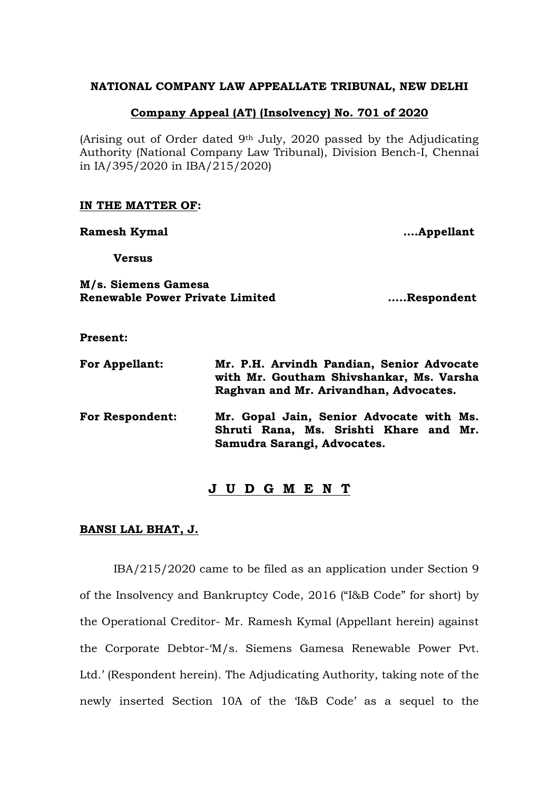### **NATIONAL COMPANY LAW APPEALLATE TRIBUNAL, NEW DELHI**

### **Company Appeal (AT) (Insolvency) No. 701 of 2020**

(Arising out of Order dated 9th July, 2020 passed by the Adjudicating Authority (National Company Law Tribunal), Division Bench-I, Chennai in IA/395/2020 in IBA/215/2020)

#### **IN THE MATTER OF:**

**Ramesh Kymal ….Appellant**

**Versus**

## **M/s. Siemens Gamesa Renewable Power Private Limited …..Respondent**

**Present:**

| <b>For Appellant:</b>  | Mr. P.H. Arvindh Pandian, Senior Advocate<br>with Mr. Goutham Shivshankar, Ms. Varsha<br>Raghvan and Mr. Arivandhan, Advocates. |
|------------------------|---------------------------------------------------------------------------------------------------------------------------------|
| <b>For Respondent:</b> | Mr. Gopal Jain, Senior Advocate with Ms.<br>Shruti Rana, Ms. Srishti Khare and Mr.<br>Samudra Sarangi, Advocates.               |

### **J U D G M E N T**

#### **BANSI LAL BHAT, J.**

IBA/215/2020 came to be filed as an application under Section 9 of the Insolvency and Bankruptcy Code, 2016 ("I&B Code" for short) by the Operational Creditor- Mr. Ramesh Kymal (Appellant herein) against the Corporate Debtor-'M/s. Siemens Gamesa Renewable Power Pvt. Ltd.' (Respondent herein). The Adjudicating Authority, taking note of the newly inserted Section 10A of the 'I&B Code' as a sequel to the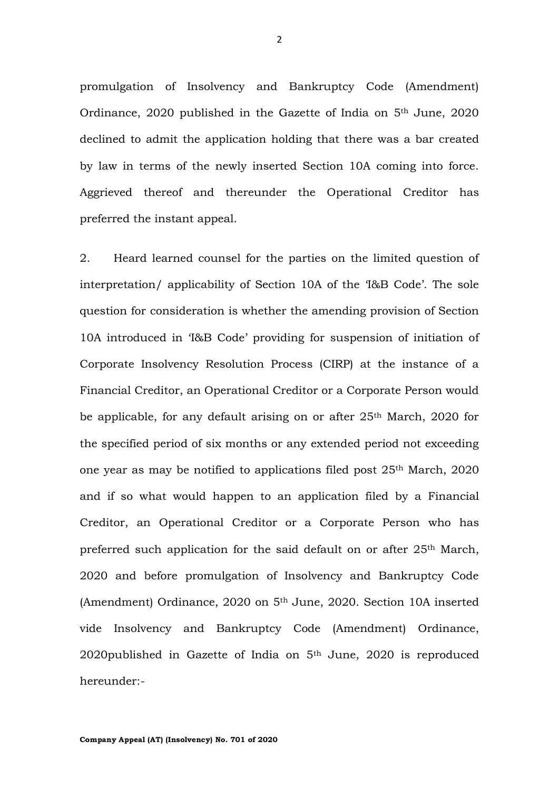promulgation of Insolvency and Bankruptcy Code (Amendment) Ordinance, 2020 published in the Gazette of India on 5th June, 2020 declined to admit the application holding that there was a bar created by law in terms of the newly inserted Section 10A coming into force. Aggrieved thereof and thereunder the Operational Creditor has preferred the instant appeal.

2. Heard learned counsel for the parties on the limited question of interpretation/ applicability of Section 10A of the 'I&B Code'. The sole question for consideration is whether the amending provision of Section 10A introduced in 'I&B Code' providing for suspension of initiation of Corporate Insolvency Resolution Process (CIRP) at the instance of a Financial Creditor, an Operational Creditor or a Corporate Person would be applicable, for any default arising on or after 25<sup>th</sup> March, 2020 for the specified period of six months or any extended period not exceeding one year as may be notified to applications filed post 25th March, 2020 and if so what would happen to an application filed by a Financial Creditor, an Operational Creditor or a Corporate Person who has preferred such application for the said default on or after 25th March, 2020 and before promulgation of Insolvency and Bankruptcy Code (Amendment) Ordinance, 2020 on 5th June, 2020. Section 10A inserted vide Insolvency and Bankruptcy Code (Amendment) Ordinance, 2020published in Gazette of India on 5th June, 2020 is reproduced hereunder:-

2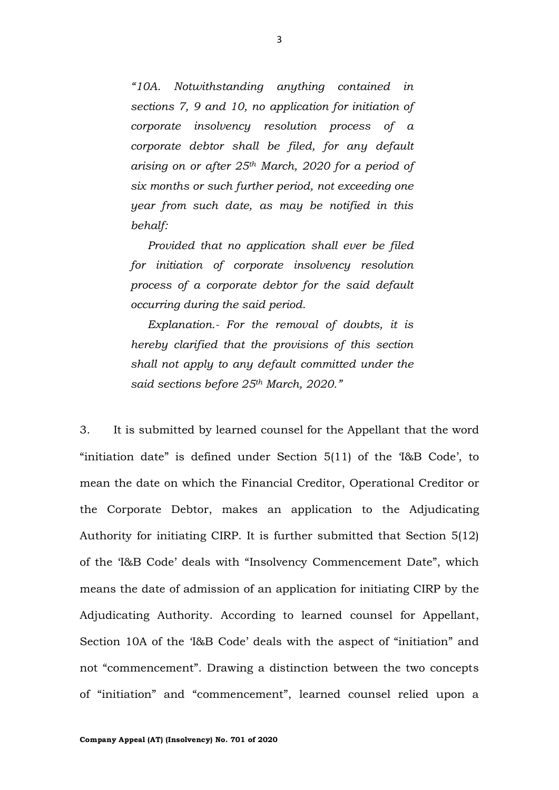*"10A. Notwithstanding anything contained in sections 7, 9 and 10, no application for initiation of corporate insolvency resolution process of a corporate debtor shall be filed, for any default arising on or after 25th March, 2020 for a period of six months or such further period, not exceeding one year from such date, as may be notified in this behalf:*

*Provided that no application shall ever be filed for initiation of corporate insolvency resolution process of a corporate debtor for the said default occurring during the said period.*

*Explanation.- For the removal of doubts, it is hereby clarified that the provisions of this section shall not apply to any default committed under the said sections before 25th March, 2020."*

3. It is submitted by learned counsel for the Appellant that the word "initiation date" is defined under Section 5(11) of the 'I&B Code', to mean the date on which the Financial Creditor, Operational Creditor or the Corporate Debtor, makes an application to the Adjudicating Authority for initiating CIRP. It is further submitted that Section 5(12) of the 'I&B Code' deals with "Insolvency Commencement Date", which means the date of admission of an application for initiating CIRP by the Adjudicating Authority. According to learned counsel for Appellant, Section 10A of the 'I&B Code' deals with the aspect of "initiation" and not "commencement". Drawing a distinction between the two concepts of "initiation" and "commencement", learned counsel relied upon a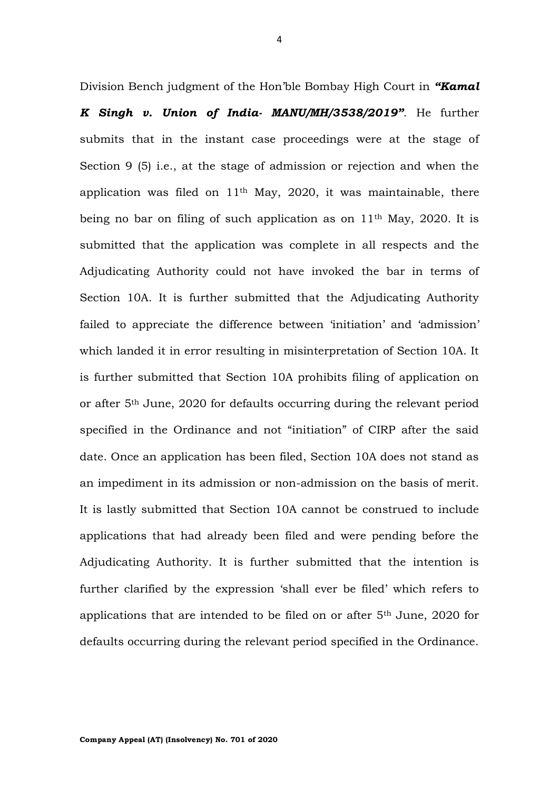Division Bench judgment of the Hon'ble Bombay High Court in *"Kamal K Singh v. Union of India- MANU/MH/3538/2019"*. He further submits that in the instant case proceedings were at the stage of Section 9 (5) i.e., at the stage of admission or rejection and when the application was filed on 11th May, 2020, it was maintainable, there being no bar on filing of such application as on  $11<sup>th</sup>$  May, 2020. It is submitted that the application was complete in all respects and the Adjudicating Authority could not have invoked the bar in terms of Section 10A. It is further submitted that the Adjudicating Authority failed to appreciate the difference between 'initiation' and 'admission' which landed it in error resulting in misinterpretation of Section 10A. It is further submitted that Section 10A prohibits filing of application on or after 5th June, 2020 for defaults occurring during the relevant period specified in the Ordinance and not "initiation" of CIRP after the said date. Once an application has been filed, Section 10A does not stand as an impediment in its admission or non-admission on the basis of merit. It is lastly submitted that Section 10A cannot be construed to include applications that had already been filed and were pending before the Adjudicating Authority. It is further submitted that the intention is further clarified by the expression 'shall ever be filed' which refers to applications that are intended to be filed on or after 5th June, 2020 for defaults occurring during the relevant period specified in the Ordinance.

**Company Appeal (AT) (Insolvency) No. 701 of 2020**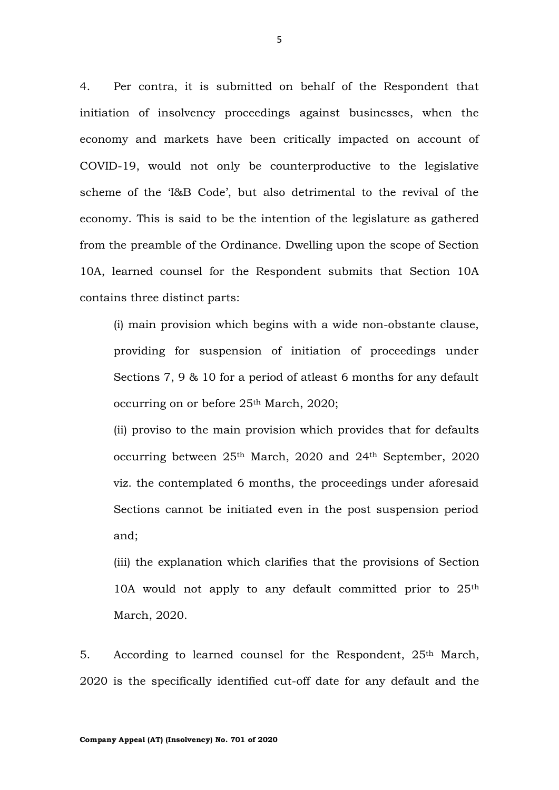4. Per contra, it is submitted on behalf of the Respondent that initiation of insolvency proceedings against businesses, when the economy and markets have been critically impacted on account of COVID-19, would not only be counterproductive to the legislative scheme of the 'I&B Code', but also detrimental to the revival of the economy. This is said to be the intention of the legislature as gathered from the preamble of the Ordinance. Dwelling upon the scope of Section 10A, learned counsel for the Respondent submits that Section 10A contains three distinct parts:

(i) main provision which begins with a wide non-obstante clause, providing for suspension of initiation of proceedings under Sections 7, 9 & 10 for a period of atleast 6 months for any default occurring on or before 25<sup>th</sup> March, 2020;

(ii) proviso to the main provision which provides that for defaults occurring between 25th March, 2020 and 24th September, 2020 viz. the contemplated 6 months, the proceedings under aforesaid Sections cannot be initiated even in the post suspension period and;

(iii) the explanation which clarifies that the provisions of Section 10A would not apply to any default committed prior to 25th March, 2020.

5. According to learned counsel for the Respondent, 25<sup>th</sup> March, 2020 is the specifically identified cut-off date for any default and the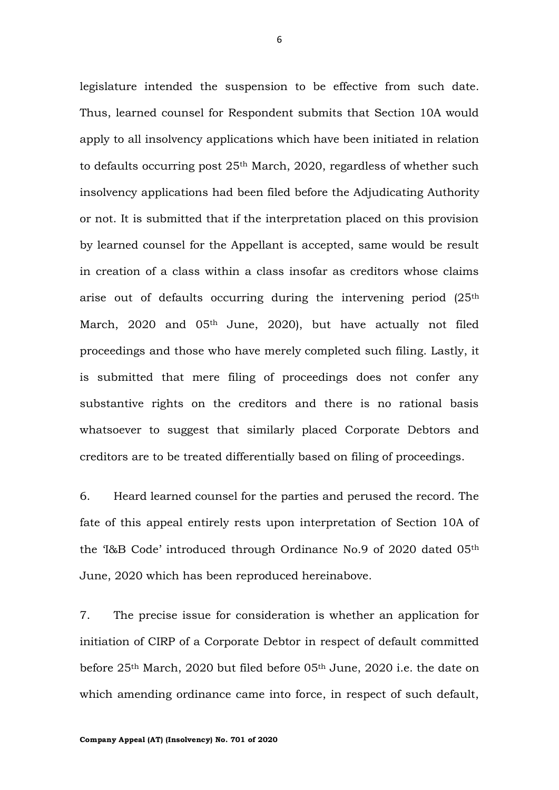legislature intended the suspension to be effective from such date. Thus, learned counsel for Respondent submits that Section 10A would apply to all insolvency applications which have been initiated in relation to defaults occurring post 25th March, 2020, regardless of whether such insolvency applications had been filed before the Adjudicating Authority or not. It is submitted that if the interpretation placed on this provision by learned counsel for the Appellant is accepted, same would be result in creation of a class within a class insofar as creditors whose claims arise out of defaults occurring during the intervening period (25<sup>th</sup>) March, 2020 and 05<sup>th</sup> June, 2020), but have actually not filed proceedings and those who have merely completed such filing. Lastly, it is submitted that mere filing of proceedings does not confer any substantive rights on the creditors and there is no rational basis whatsoever to suggest that similarly placed Corporate Debtors and creditors are to be treated differentially based on filing of proceedings.

6. Heard learned counsel for the parties and perused the record. The fate of this appeal entirely rests upon interpretation of Section 10A of the 'I&B Code' introduced through Ordinance No.9 of 2020 dated 05th June, 2020 which has been reproduced hereinabove.

7. The precise issue for consideration is whether an application for initiation of CIRP of a Corporate Debtor in respect of default committed before 25th March, 2020 but filed before 05th June, 2020 i.e. the date on which amending ordinance came into force, in respect of such default,

**Company Appeal (AT) (Insolvency) No. 701 of 2020**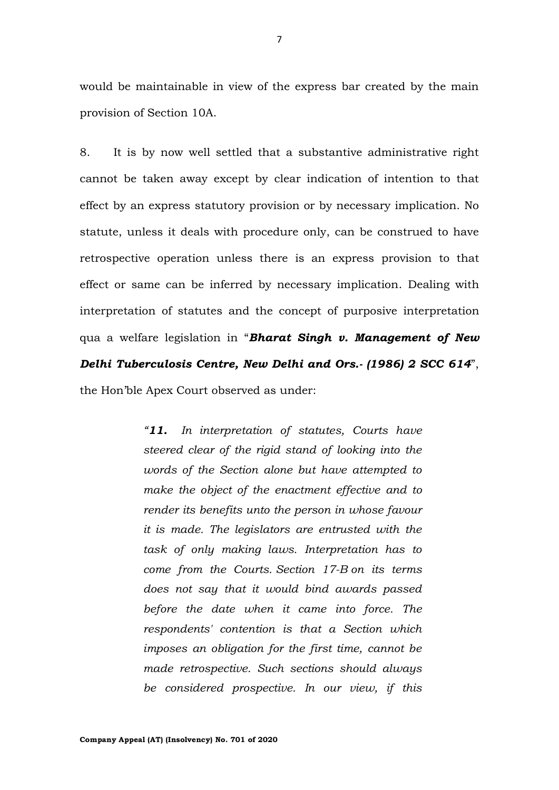would be maintainable in view of the express bar created by the main provision of Section 10A.

8. It is by now well settled that a substantive administrative right cannot be taken away except by clear indication of intention to that effect by an express statutory provision or by necessary implication. No statute, unless it deals with procedure only, can be construed to have retrospective operation unless there is an express provision to that effect or same can be inferred by necessary implication. Dealing with interpretation of statutes and the concept of purposive interpretation qua a welfare legislation in "*Bharat Singh v. Management of New Delhi Tuberculosis Centre, New Delhi and Ors.- (1986) 2 SCC 614*", the Hon'ble Apex Court observed as under:

> *"11. In interpretation of statutes, Courts have steered clear of the rigid stand of looking into the words of the Section alone but have attempted to make the object of the enactment effective and to render its benefits unto the person in whose favour it is made. The legislators are entrusted with the task of only making laws. Interpretation has to come from the Courts. [Section 17-B](https://indiankanoon.org/doc/770112/) on its terms does not say that it would bind awards passed before the date when it came into force. The respondents' contention is that a Section which imposes an obligation for the first time, cannot be made retrospective. Such sections should always be considered prospective. In our view, if this*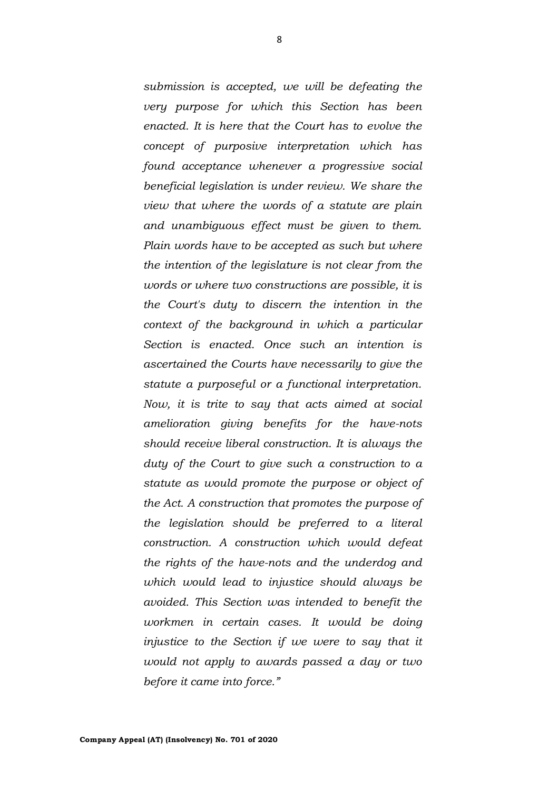*submission is accepted, we will be defeating the very purpose for which this Section has been enacted. It is here that the Court has to evolve the concept of purposive interpretation which has found acceptance whenever a progressive social beneficial legislation is under review. We share the view that where the words of a statute are plain and unambiguous effect must be given to them. Plain words have to be accepted as such but where the intention of the legislature is not clear from the words or where two constructions are possible, it is the Court's duty to discern the intention in the context of the background in which a particular Section is enacted. Once such an intention is ascertained the Courts have necessarily to give the statute a purposeful or a functional interpretation. Now, it is trite to say that acts aimed at social amelioration giving benefits for the have-nots should receive liberal construction. It is always the duty of the Court to give such a construction to a statute as would promote the purpose or object of the Act. A construction that promotes the purpose of the legislation should be preferred to a literal construction. A construction which would defeat the rights of the have-nots and the underdog and which would lead to injustice should always be avoided. This Section was intended to benefit the workmen in certain cases. It would be doing injustice to the Section if we were to say that it would not apply to awards passed a day or two before it came into force."*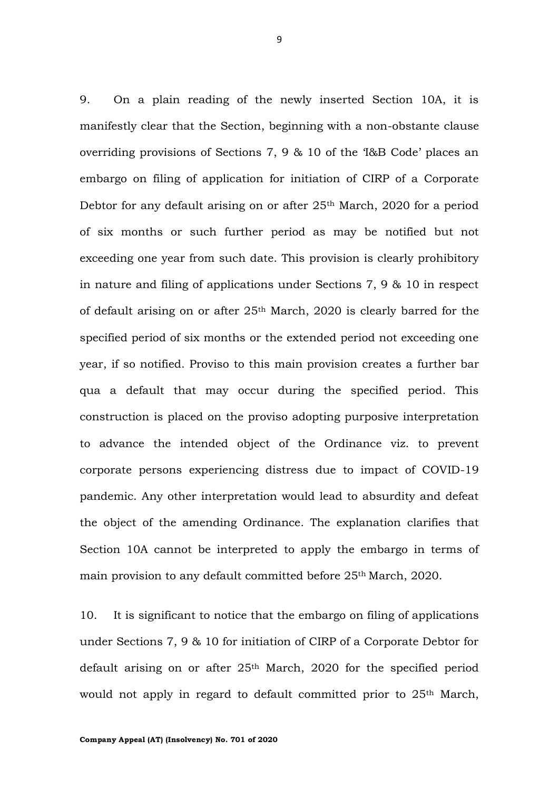9. On a plain reading of the newly inserted Section 10A, it is manifestly clear that the Section, beginning with a non-obstante clause overriding provisions of Sections 7, 9 & 10 of the 'I&B Code' places an embargo on filing of application for initiation of CIRP of a Corporate Debtor for any default arising on or after 25<sup>th</sup> March, 2020 for a period of six months or such further period as may be notified but not exceeding one year from such date. This provision is clearly prohibitory in nature and filing of applications under Sections 7, 9 & 10 in respect of default arising on or after 25th March, 2020 is clearly barred for the specified period of six months or the extended period not exceeding one year, if so notified. Proviso to this main provision creates a further bar qua a default that may occur during the specified period. This construction is placed on the proviso adopting purposive interpretation to advance the intended object of the Ordinance viz. to prevent corporate persons experiencing distress due to impact of COVID-19 pandemic. Any other interpretation would lead to absurdity and defeat the object of the amending Ordinance. The explanation clarifies that Section 10A cannot be interpreted to apply the embargo in terms of main provision to any default committed before 25th March, 2020.

10. It is significant to notice that the embargo on filing of applications under Sections 7, 9 & 10 for initiation of CIRP of a Corporate Debtor for default arising on or after  $25<sup>th</sup>$  March, 2020 for the specified period would not apply in regard to default committed prior to 25th March,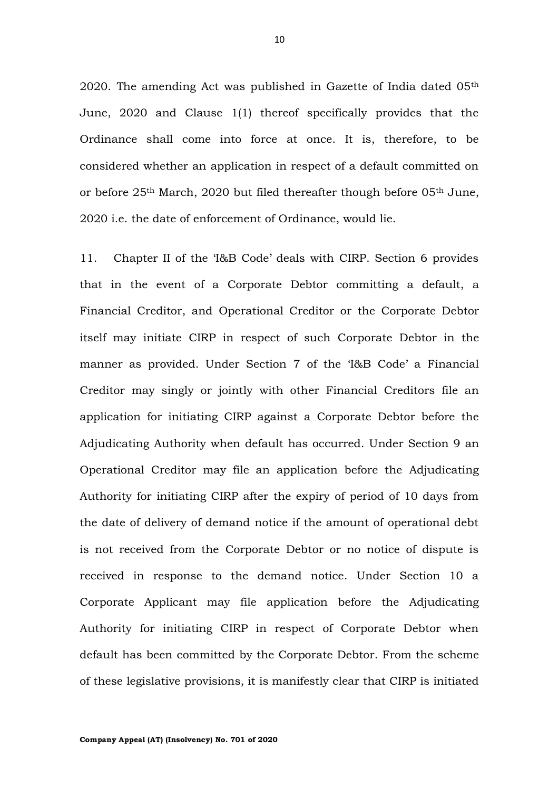2020. The amending Act was published in Gazette of India dated 05<sup>th</sup> June, 2020 and Clause 1(1) thereof specifically provides that the Ordinance shall come into force at once. It is, therefore, to be considered whether an application in respect of a default committed on or before 25th March, 2020 but filed thereafter though before 05th June, 2020 i.e. the date of enforcement of Ordinance, would lie.

11. Chapter II of the 'I&B Code' deals with CIRP. Section 6 provides that in the event of a Corporate Debtor committing a default, a Financial Creditor, and Operational Creditor or the Corporate Debtor itself may initiate CIRP in respect of such Corporate Debtor in the manner as provided. Under Section 7 of the 'I&B Code' a Financial Creditor may singly or jointly with other Financial Creditors file an application for initiating CIRP against a Corporate Debtor before the Adjudicating Authority when default has occurred. Under Section 9 an Operational Creditor may file an application before the Adjudicating Authority for initiating CIRP after the expiry of period of 10 days from the date of delivery of demand notice if the amount of operational debt is not received from the Corporate Debtor or no notice of dispute is received in response to the demand notice. Under Section 10 a Corporate Applicant may file application before the Adjudicating Authority for initiating CIRP in respect of Corporate Debtor when default has been committed by the Corporate Debtor. From the scheme of these legislative provisions, it is manifestly clear that CIRP is initiated

10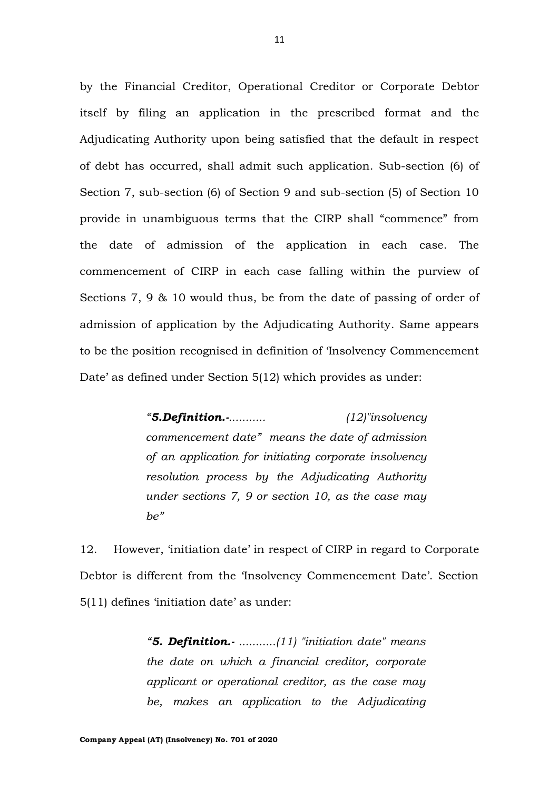by the Financial Creditor, Operational Creditor or Corporate Debtor itself by filing an application in the prescribed format and the Adjudicating Authority upon being satisfied that the default in respect of debt has occurred, shall admit such application. Sub-section (6) of Section 7, sub-section (6) of Section 9 and sub-section (5) of Section 10 provide in unambiguous terms that the CIRP shall "commence" from the date of admission of the application in each case. The commencement of CIRP in each case falling within the purview of Sections 7, 9 & 10 would thus, be from the date of passing of order of admission of application by the Adjudicating Authority. Same appears to be the position recognised in definition of 'Insolvency Commencement Date' as defined under Section 5(12) which provides as under:

> *"5.Definition.-........... (12)"insolvency commencement date" means the date of admission of an application for initiating corporate insolvency resolution process by the Adjudicating Authority under sections 7, 9 or section 10, as the case may be"*

12. However, 'initiation date' in respect of CIRP in regard to Corporate Debtor is different from the 'Insolvency Commencement Date'. Section 5(11) defines 'initiation date' as under:

> *"5. Definition.- ...........(11) "initiation date" means the date on which a financial creditor, corporate applicant or operational creditor, as the case may be, makes an application to the Adjudicating*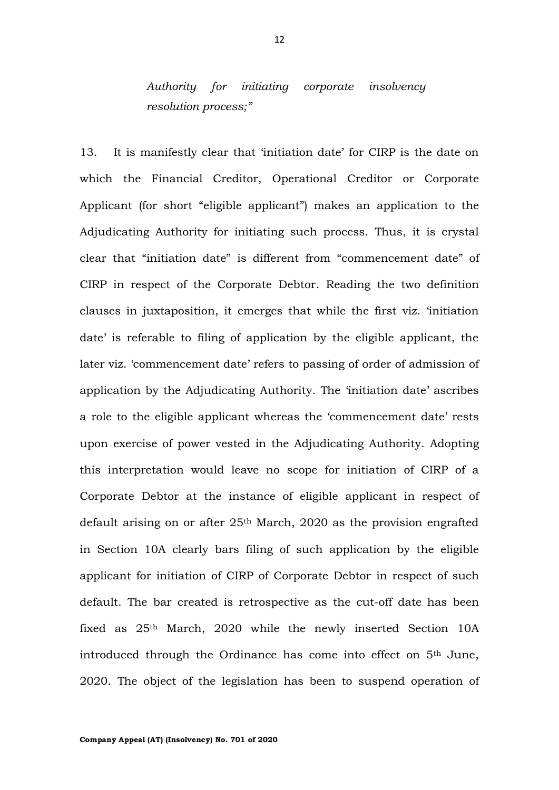# *Authority for initiating corporate insolvency resolution process;"*

13. It is manifestly clear that 'initiation date' for CIRP is the date on which the Financial Creditor, Operational Creditor or Corporate Applicant (for short "eligible applicant") makes an application to the Adjudicating Authority for initiating such process. Thus, it is crystal clear that "initiation date" is different from "commencement date" of CIRP in respect of the Corporate Debtor. Reading the two definition clauses in juxtaposition, it emerges that while the first viz. 'initiation date' is referable to filing of application by the eligible applicant, the later viz. 'commencement date' refers to passing of order of admission of application by the Adjudicating Authority. The 'initiation date' ascribes a role to the eligible applicant whereas the 'commencement date' rests upon exercise of power vested in the Adjudicating Authority. Adopting this interpretation would leave no scope for initiation of CIRP of a Corporate Debtor at the instance of eligible applicant in respect of default arising on or after  $25<sup>th</sup>$  March, 2020 as the provision engrafted in Section 10A clearly bars filing of such application by the eligible applicant for initiation of CIRP of Corporate Debtor in respect of such default. The bar created is retrospective as the cut-off date has been fixed as  $25<sup>th</sup>$  March, 2020 while the newly inserted Section 10A introduced through the Ordinance has come into effect on 5th June, 2020. The object of the legislation has been to suspend operation of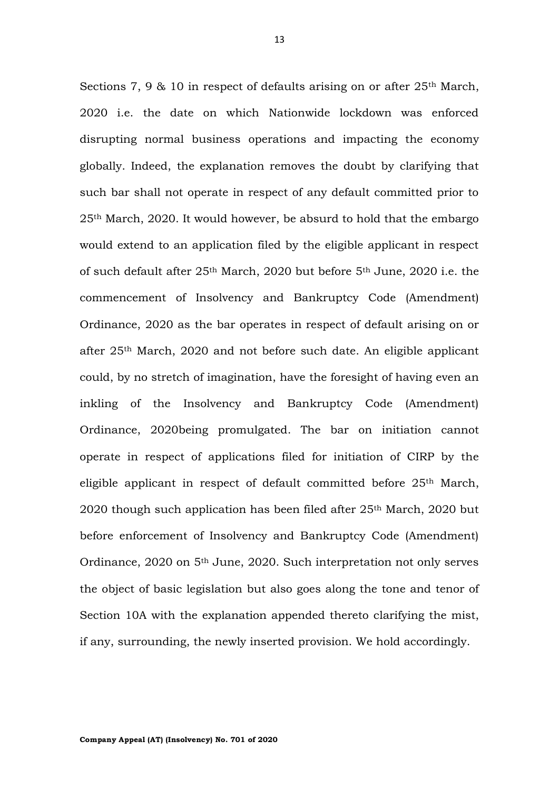Sections 7, 9  $\&$  10 in respect of defaults arising on or after 25<sup>th</sup> March, 2020 i.e. the date on which Nationwide lockdown was enforced disrupting normal business operations and impacting the economy globally. Indeed, the explanation removes the doubt by clarifying that such bar shall not operate in respect of any default committed prior to 25th March, 2020. It would however, be absurd to hold that the embargo would extend to an application filed by the eligible applicant in respect of such default after 25th March, 2020 but before 5th June, 2020 i.e. the commencement of Insolvency and Bankruptcy Code (Amendment) Ordinance, 2020 as the bar operates in respect of default arising on or after 25th March, 2020 and not before such date. An eligible applicant could, by no stretch of imagination, have the foresight of having even an inkling of the Insolvency and Bankruptcy Code (Amendment) Ordinance, 2020being promulgated. The bar on initiation cannot operate in respect of applications filed for initiation of CIRP by the eligible applicant in respect of default committed before 25th March, 2020 though such application has been filed after  $25<sup>th</sup>$  March, 2020 but before enforcement of Insolvency and Bankruptcy Code (Amendment) Ordinance, 2020 on 5th June, 2020. Such interpretation not only serves the object of basic legislation but also goes along the tone and tenor of Section 10A with the explanation appended thereto clarifying the mist, if any, surrounding, the newly inserted provision. We hold accordingly.